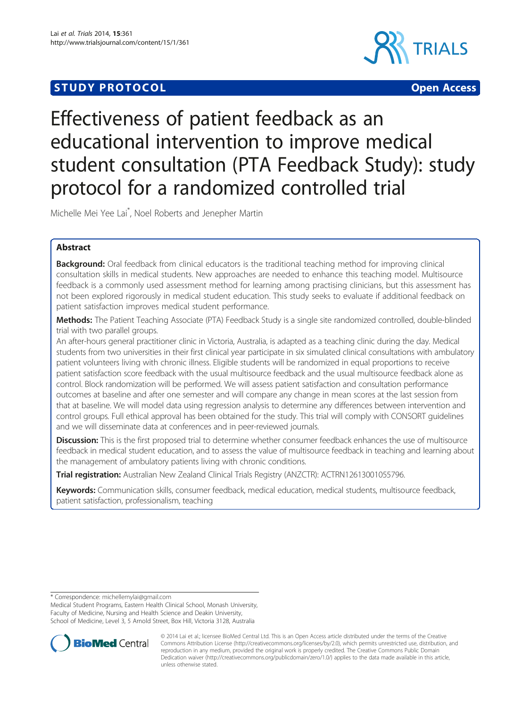## **STUDY PROTOCOL CONSUMING THE CONSUMING OPEN ACCESS**



# Effectiveness of patient feedback as an educational intervention to improve medical student consultation (PTA Feedback Study): study protocol for a randomized controlled trial

Michelle Mei Yee Lai\* , Noel Roberts and Jenepher Martin

### Abstract

**Background:** Oral feedback from clinical educators is the traditional teaching method for improving clinical consultation skills in medical students. New approaches are needed to enhance this teaching model. Multisource feedback is a commonly used assessment method for learning among practising clinicians, but this assessment has not been explored rigorously in medical student education. This study seeks to evaluate if additional feedback on patient satisfaction improves medical student performance.

Methods: The Patient Teaching Associate (PTA) Feedback Study is a single site randomized controlled, double-blinded trial with two parallel groups.

An after-hours general practitioner clinic in Victoria, Australia, is adapted as a teaching clinic during the day. Medical students from two universities in their first clinical year participate in six simulated clinical consultations with ambulatory patient volunteers living with chronic illness. Eligible students will be randomized in equal proportions to receive patient satisfaction score feedback with the usual multisource feedback and the usual multisource feedback alone as control. Block randomization will be performed. We will assess patient satisfaction and consultation performance outcomes at baseline and after one semester and will compare any change in mean scores at the last session from that at baseline. We will model data using regression analysis to determine any differences between intervention and control groups. Full ethical approval has been obtained for the study. This trial will comply with CONSORT guidelines and we will disseminate data at conferences and in peer-reviewed journals.

Discussion: This is the first proposed trial to determine whether consumer feedback enhances the use of multisource feedback in medical student education, and to assess the value of multisource feedback in teaching and learning about the management of ambulatory patients living with chronic conditions.

Trial registration: Australian New Zealand Clinical Trials Registry (ANZCTR): [ACTRN12613001055796.](https://www.anzctr.org.au/Trial/Registration/TrialReview.aspx?id=365014)

Keywords: Communication skills, consumer feedback, medical education, medical students, multisource feedback, patient satisfaction, professionalism, teaching

\* Correspondence: [michellemylai@gmail.com](mailto:michellemylai@gmail.com)

Medical Student Programs, Eastern Health Clinical School, Monash University, Faculty of Medicine, Nursing and Health Science and Deakin University, School of Medicine, Level 3, 5 Arnold Street, Box Hill, Victoria 3128, Australia



© 2014 Lai et al.; licensee BioMed Central Ltd. This is an Open Access article distributed under the terms of the Creative Commons Attribution License [\(http://creativecommons.org/licenses/by/2.0\)](http://creativecommons.org/licenses/by/2.0), which permits unrestricted use, distribution, and reproduction in any medium, provided the original work is properly credited. The Creative Commons Public Domain Dedication waiver [\(http://creativecommons.org/publicdomain/zero/1.0/](http://creativecommons.org/publicdomain/zero/1.0/)) applies to the data made available in this article, unless otherwise stated.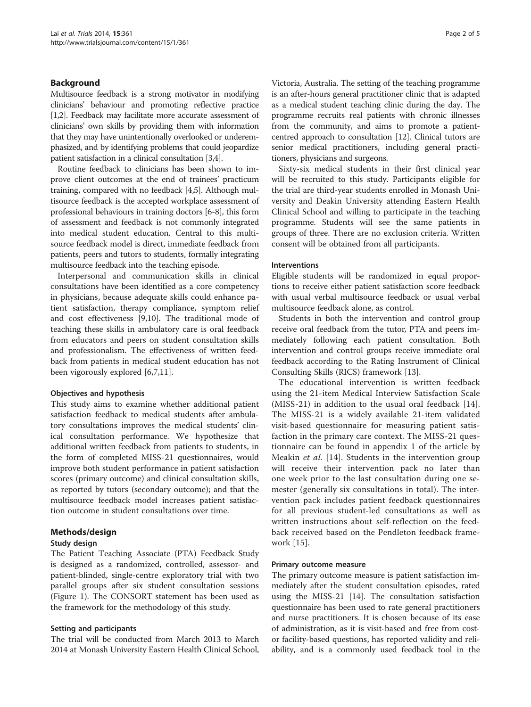#### Background

Multisource feedback is a strong motivator in modifying clinicians' behaviour and promoting reflective practice [[1,2](#page-4-0)]. Feedback may facilitate more accurate assessment of clinicians' own skills by providing them with information that they may have unintentionally overlooked or underemphasized, and by identifying problems that could jeopardize patient satisfaction in a clinical consultation [[3,4](#page-4-0)].

Routine feedback to clinicians has been shown to improve client outcomes at the end of trainees' practicum training, compared with no feedback [[4,5](#page-4-0)]. Although multisource feedback is the accepted workplace assessment of professional behaviours in training doctors [[6-8](#page-4-0)], this form of assessment and feedback is not commonly integrated into medical student education. Central to this multisource feedback model is direct, immediate feedback from patients, peers and tutors to students, formally integrating multisource feedback into the teaching episode.

Interpersonal and communication skills in clinical consultations have been identified as a core competency in physicians, because adequate skills could enhance patient satisfaction, therapy compliance, symptom relief and cost effectiveness [\[9,10\]](#page-4-0). The traditional mode of teaching these skills in ambulatory care is oral feedback from educators and peers on student consultation skills and professionalism. The effectiveness of written feedback from patients in medical student education has not been vigorously explored [\[6,7,11](#page-4-0)].

#### Objectives and hypothesis

This study aims to examine whether additional patient satisfaction feedback to medical students after ambulatory consultations improves the medical students' clinical consultation performance. We hypothesize that additional written feedback from patients to students, in the form of completed MISS-21 questionnaires, would improve both student performance in patient satisfaction scores (primary outcome) and clinical consultation skills, as reported by tutors (secondary outcome); and that the multisource feedback model increases patient satisfaction outcome in student consultations over time.

#### Methods/design

#### Study design

The Patient Teaching Associate (PTA) Feedback Study is designed as a randomized, controlled, assessor- and patient-blinded, single-centre exploratory trial with two parallel groups after six student consultation sessions (Figure [1\)](#page-2-0). The CONSORT statement has been used as the framework for the methodology of this study.

#### Setting and participants

The trial will be conducted from March 2013 to March 2014 at Monash University Eastern Health Clinical School,

Victoria, Australia. The setting of the teaching programme is an after-hours general practitioner clinic that is adapted as a medical student teaching clinic during the day. The programme recruits real patients with chronic illnesses from the community, and aims to promote a patientcentred approach to consultation [[12](#page-4-0)]. Clinical tutors are senior medical practitioners, including general practitioners, physicians and surgeons.

Sixty-six medical students in their first clinical year will be recruited to this study. Participants eligible for the trial are third-year students enrolled in Monash University and Deakin University attending Eastern Health Clinical School and willing to participate in the teaching programme. Students will see the same patients in groups of three. There are no exclusion criteria. Written consent will be obtained from all participants.

#### Interventions

Eligible students will be randomized in equal proportions to receive either patient satisfaction score feedback with usual verbal multisource feedback or usual verbal multisource feedback alone, as control.

Students in both the intervention and control group receive oral feedback from the tutor, PTA and peers immediately following each patient consultation. Both intervention and control groups receive immediate oral feedback according to the Rating Instrument of Clinical Consulting Skills (RICS) framework [\[13\]](#page-4-0).

The educational intervention is written feedback using the 21-item Medical Interview Satisfaction Scale (MISS-21) in addition to the usual oral feedback [[14](#page-4-0)]. The MISS-21 is a widely available 21-item validated visit-based questionnaire for measuring patient satisfaction in the primary care context. The MISS-21 questionnaire can be found in appendix 1 of the article by Meakin et al. [\[14](#page-4-0)]. Students in the intervention group will receive their intervention pack no later than one week prior to the last consultation during one semester (generally six consultations in total). The intervention pack includes patient feedback questionnaires for all previous student-led consultations as well as written instructions about self-reflection on the feedback received based on the Pendleton feedback framework [[15\]](#page-4-0).

#### Primary outcome measure

The primary outcome measure is patient satisfaction immediately after the student consultation episodes, rated using the MISS-21 [[14\]](#page-4-0). The consultation satisfaction questionnaire has been used to rate general practitioners and nurse practitioners. It is chosen because of its ease of administration, as it is visit-based and free from costor facility-based questions, has reported validity and reliability, and is a commonly used feedback tool in the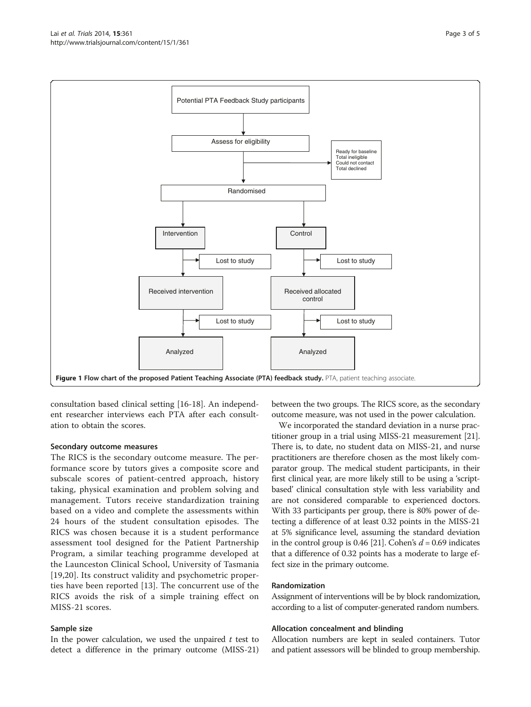<span id="page-2-0"></span>

consultation based clinical setting [[16-18](#page-4-0)]. An independent researcher interviews each PTA after each consultation to obtain the scores.

#### Secondary outcome measures

The RICS is the secondary outcome measure. The performance score by tutors gives a composite score and subscale scores of patient-centred approach, history taking, physical examination and problem solving and management. Tutors receive standardization training based on a video and complete the assessments within 24 hours of the student consultation episodes. The RICS was chosen because it is a student performance assessment tool designed for the Patient Partnership Program, a similar teaching programme developed at the Launceston Clinical School, University of Tasmania [[19,20\]](#page-4-0). Its construct validity and psychometric properties have been reported [\[13\]](#page-4-0). The concurrent use of the RICS avoids the risk of a simple training effect on MISS-21 scores.

#### Sample size

In the power calculation, we used the unpaired  $t$  test to detect a difference in the primary outcome (MISS-21)

between the two groups. The RICS score, as the secondary outcome measure, was not used in the power calculation.

We incorporated the standard deviation in a nurse practitioner group in a trial using MISS-21 measurement [[21](#page-4-0)]. There is, to date, no student data on MISS-21, and nurse practitioners are therefore chosen as the most likely comparator group. The medical student participants, in their first clinical year, are more likely still to be using a 'scriptbased' clinical consultation style with less variability and are not considered comparable to experienced doctors. With 33 participants per group, there is 80% power of detecting a difference of at least 0.32 points in the MISS-21 at 5% significance level, assuming the standard deviation in the control group is 0.46 [[21](#page-4-0)]. Cohen's  $d = 0.69$  indicates that a difference of 0.32 points has a moderate to large effect size in the primary outcome.

#### Randomization

Assignment of interventions will be by block randomization, according to a list of computer-generated random numbers.

#### Allocation concealment and blinding

Allocation numbers are kept in sealed containers. Tutor and patient assessors will be blinded to group membership.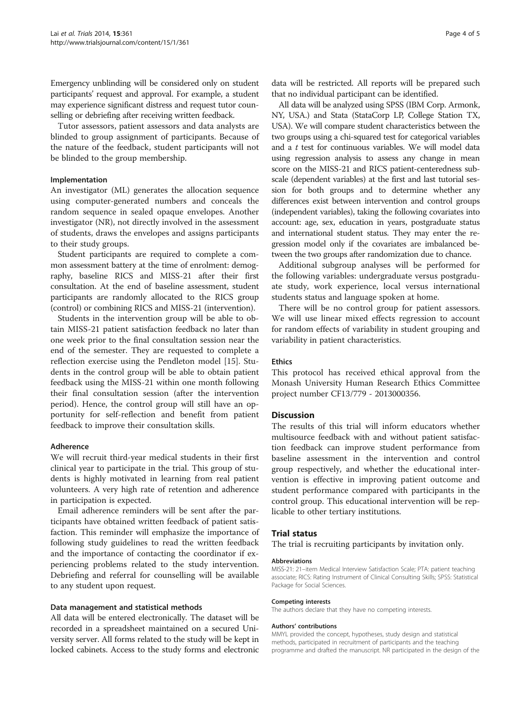Emergency unblinding will be considered only on student participants' request and approval. For example, a student may experience significant distress and request tutor counselling or debriefing after receiving written feedback.

Tutor assessors, patient assessors and data analysts are blinded to group assignment of participants. Because of the nature of the feedback, student participants will not be blinded to the group membership.

#### Implementation

An investigator (ML) generates the allocation sequence using computer-generated numbers and conceals the random sequence in sealed opaque envelopes. Another investigator (NR), not directly involved in the assessment of students, draws the envelopes and assigns participants to their study groups.

Student participants are required to complete a common assessment battery at the time of enrolment: demography, baseline RICS and MISS-21 after their first consultation. At the end of baseline assessment, student participants are randomly allocated to the RICS group (control) or combining RICS and MISS-21 (intervention).

Students in the intervention group will be able to obtain MISS-21 patient satisfaction feedback no later than one week prior to the final consultation session near the end of the semester. They are requested to complete a reflection exercise using the Pendleton model [[15](#page-4-0)]. Students in the control group will be able to obtain patient feedback using the MISS-21 within one month following their final consultation session (after the intervention period). Hence, the control group will still have an opportunity for self-reflection and benefit from patient feedback to improve their consultation skills.

#### Adherence

We will recruit third-year medical students in their first clinical year to participate in the trial. This group of students is highly motivated in learning from real patient volunteers. A very high rate of retention and adherence in participation is expected.

Email adherence reminders will be sent after the participants have obtained written feedback of patient satisfaction. This reminder will emphasize the importance of following study guidelines to read the written feedback and the importance of contacting the coordinator if experiencing problems related to the study intervention. Debriefing and referral for counselling will be available to any student upon request.

#### Data management and statistical methods

All data will be entered electronically. The dataset will be recorded in a spreadsheet maintained on a secured University server. All forms related to the study will be kept in locked cabinets. Access to the study forms and electronic

data will be restricted. All reports will be prepared such that no individual participant can be identified.

All data will be analyzed using SPSS (IBM Corp. Armonk, NY, USA.) and Stata (StataCorp LP, College Station TX, USA). We will compare student characteristics between the two groups using a chi-squared test for categorical variables and a t test for continuous variables. We will model data using regression analysis to assess any change in mean score on the MISS-21 and RICS patient-centeredness subscale (dependent variables) at the first and last tutorial session for both groups and to determine whether any differences exist between intervention and control groups (independent variables), taking the following covariates into account: age, sex, education in years, postgraduate status and international student status. They may enter the regression model only if the covariates are imbalanced between the two groups after randomization due to chance.

Additional subgroup analyses will be performed for the following variables: undergraduate versus postgraduate study, work experience, local versus international students status and language spoken at home.

There will be no control group for patient assessors. We will use linear mixed effects regression to account for random effects of variability in student grouping and variability in patient characteristics.

#### **Ethics**

This protocol has received ethical approval from the Monash University Human Research Ethics Committee project number CF13/779 - 2013000356.

#### **Discussion**

The results of this trial will inform educators whether multisource feedback with and without patient satisfaction feedback can improve student performance from baseline assessment in the intervention and control group respectively, and whether the educational intervention is effective in improving patient outcome and student performance compared with participants in the control group. This educational intervention will be replicable to other tertiary institutions.

#### Trial status

The trial is recruiting participants by invitation only.

#### Abbreviations

MISS-21: 21–item Medical Interview Satisfaction Scale; PTA: patient teaching associate; RICS: Rating Instrument of Clinical Consulting Skills; SPSS: Statistical Package for Social Sciences.

#### Competing interests

The authors declare that they have no competing interests.

#### Authors' contributions

MMYL provided the concept, hypotheses, study design and statistical methods, participated in recruitment of participants and the teaching programme and drafted the manuscript. NR participated in the design of the